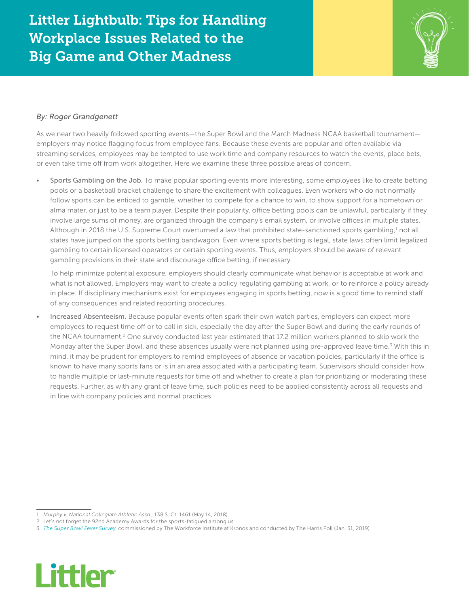## Littler Lightbulb: Tips for Handling Workplace Issues Related to the Big Game and Other Madness



## *By: Roger Grandgenett*

As we near two heavily followed sporting events—the Super Bowl and the March Madness NCAA basketball tournament employers may notice flagging focus from employee fans. Because these events are popular and often available via streaming services, employees may be tempted to use work time and company resources to watch the events, place bets, or even take time off from work altogether. Here we examine these three possible areas of concern.

• Sports Gambling on the Job. To make popular sporting events more interesting, some employees like to create betting pools or a basketball bracket challenge to share the excitement with colleagues. Even workers who do not normally follow sports can be enticed to gamble, whether to compete for a chance to win, to show support for a hometown or alma mater, or just to be a team player. Despite their popularity, office betting pools can be unlawful, particularly if they involve large sums of money, are organized through the company's email system, or involve offices in multiple states. Although in 2018 the U.S. Supreme Court overturned a law that prohibited state-sanctioned sports gambling,<sup>1</sup> not all states have jumped on the sports betting bandwagon. Even where sports betting is legal, state laws often limit legalized gambling to certain licensed operators or certain sporting events. Thus, employers should be aware of relevant gambling provisions in their state and discourage office betting, if necessary.

To help minimize potential exposure, employers should clearly communicate what behavior is acceptable at work and what is not allowed. Employers may want to create a policy regulating gambling at work, or to reinforce a policy already in place. If disciplinary mechanisms exist for employees engaging in sports betting, now is a good time to remind staff of any consequences and related reporting procedures.

• Increased Absenteeism. Because popular events often spark their own watch parties, employers can expect more employees to request time off or to call in sick, especially the day after the Super Bowl and during the early rounds of the NCAA tournament.<sup>2</sup> One survey conducted last year estimated that 17.2 million workers planned to skip work the Monday after the Super Bowl, and these absences usually were not planned using pre-approved leave time.<sup>3</sup> With this in mind, it may be prudent for employers to remind employees of absence or vacation policies, particularly if the office is known to have many sports fans or is in an area associated with a participating team. Supervisors should consider how to handle multiple or last-minute requests for time off and whether to create a plan for prioritizing or moderating these requests. Further, as with any grant of leave time, such policies need to be applied consistently across all requests and in line with company policies and normal practices.

<sup>3</sup> *[The Super Bowl Fever Survey](https://www.kronos.com/about-us/newsroom/super-bowl-fever-may-sideline-record-17.2-million-workers-monday)*, commissioned by The Workforce Institute at Kronos and conducted by The Harris Poll (Jan. 31, 2019).



<sup>1</sup> *Murphy v. National Collegiate Athletic Assn.*, 138 S. Ct. 1461 (May 14, 2018).

<sup>2</sup> Let's not forget the 92nd Academy Awards for the sports-fatigued among us.